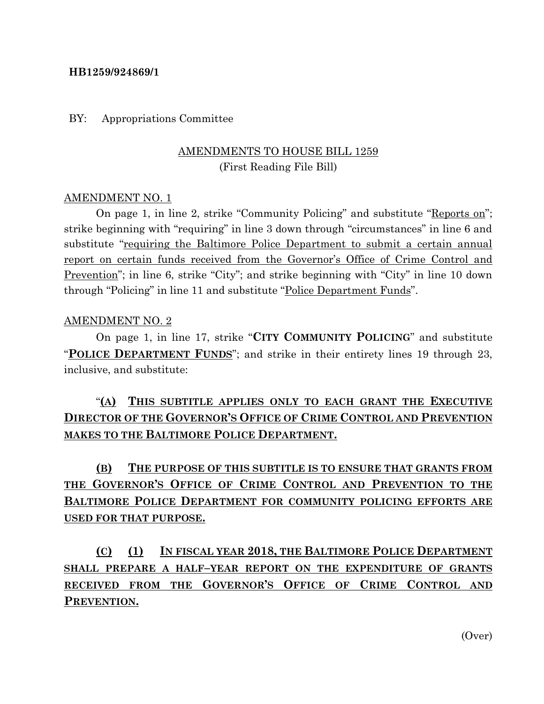#### **HB1259/924869/1**

#### BY: Appropriations Committee

### AMENDMENTS TO HOUSE BILL 1259 (First Reading File Bill)

#### AMENDMENT NO. 1

On page 1, in line 2, strike "Community Policing" and substitute "Reports on"; strike beginning with "requiring" in line 3 down through "circumstances" in line 6 and substitute "requiring the Baltimore Police Department to submit a certain annual report on certain funds received from the Governor's Office of Crime Control and Prevention"; in line 6, strike "City"; and strike beginning with "City" in line 10 down through "Policing" in line 11 and substitute "Police Department Funds".

#### AMENDMENT NO. 2

On page 1, in line 17, strike "**CITY COMMUNITY POLICING**" and substitute "**POLICE DEPARTMENT FUNDS**"; and strike in their entirety lines 19 through 23, inclusive, and substitute:

### "**(A) THIS SUBTITLE APPLIES ONLY TO EACH GRANT THE EXECUTIVE DIRECTOR OF THE GOVERNOR'S OFFICE OF CRIME CONTROL AND PREVENTION MAKES TO THE BALTIMORE POLICE DEPARTMENT.**

# **(B) THE PURPOSE OF THIS SUBTITLE IS TO ENSURE THAT GRANTS FROM THE GOVERNOR'S OFFICE OF CRIME CONTROL AND PREVENTION TO THE BALTIMORE POLICE DEPARTMENT FOR COMMUNITY POLICING EFFORTS ARE USED FOR THAT PURPOSE.**

# **(C) (1) IN FISCAL YEAR 2018, THE BALTIMORE POLICE DEPARTMENT SHALL PREPARE A HALF–YEAR REPORT ON THE EXPENDITURE OF GRANTS RECEIVED FROM THE GOVERNOR'S OFFICE OF CRIME CONTROL AND PREVENTION.**

(Over)